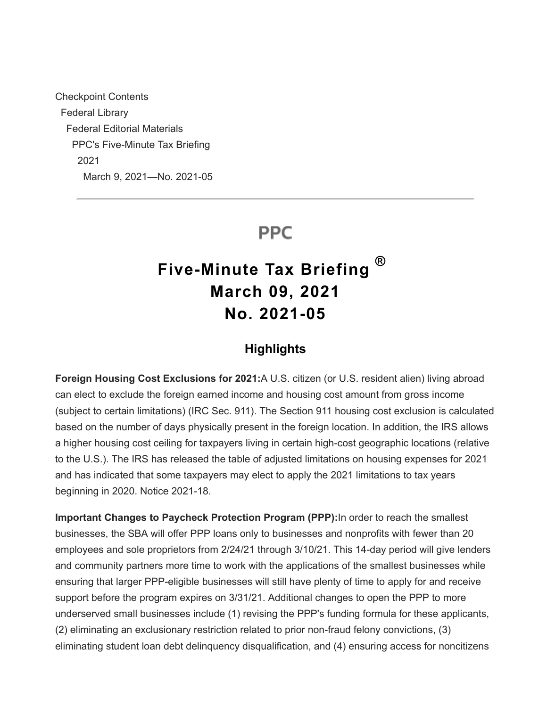Checkpoint Contents Federal Library Federal Editorial Materials PPC's Five-Minute Tax Briefing 2021 March 9, 2021—No. 2021-05

# **PPC**

# **Five-Minute Tax Briefing March 09, 2021 No. 2021-05 ®**

## **Highlights**

**Foreign Housing Cost Exclusions for 2021:**A U.S. citizen (or U.S. resident alien) living abroad can elect to exclude the foreign earned income and housing cost amount from gross income (subject to certain limitations) (IRC Sec. 911). The Section 911 housing cost exclusion is calculated based on the number of days physically present in the foreign location. In addition, the IRS allows a higher housing cost ceiling for taxpayers living in certain high-cost geographic locations (relative to the U.S.). The IRS has released the table of adjusted limitations on housing expenses for 2021 and has indicated that some taxpayers may elect to apply the 2021 limitations to tax years beginning in 2020. Notice 2021-18.

**Important Changes to Paycheck Protection Program (PPP):**In order to reach the smallest businesses, the SBA will offer PPP loans only to businesses and nonprofits with fewer than 20 employees and sole proprietors from 2/24/21 through 3/10/21. This 14-day period will give lenders and community partners more time to work with the applications of the smallest businesses while ensuring that larger PPP-eligible businesses will still have plenty of time to apply for and receive support before the program expires on 3/31/21. Additional changes to open the PPP to more underserved small businesses include (1) revising the PPP's funding formula for these applicants, (2) eliminating an exclusionary restriction related to prior non-fraud felony convictions, (3) eliminating student loan debt delinquency disqualification, and (4) ensuring access for noncitizens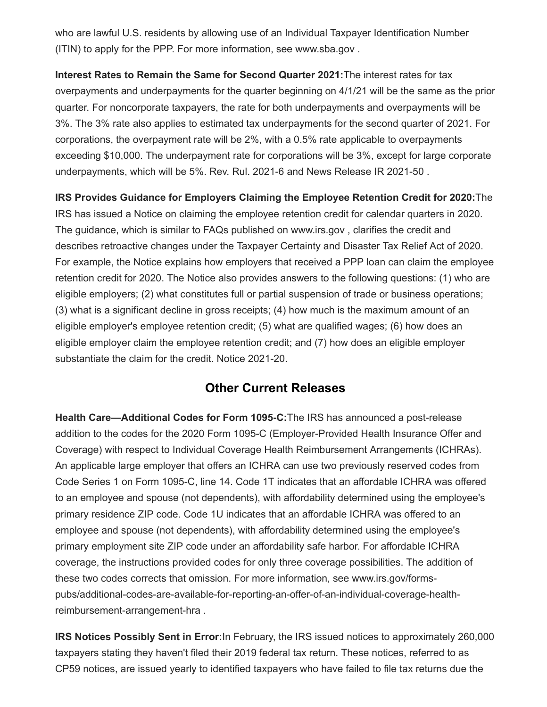who are lawful U.S. residents by allowing use of an Individual Taxpayer Identification Number (ITIN) to apply for the PPP. For more information, see www.sba.gov .

**Interest Rates to Remain the Same for Second Quarter 2021:**The interest rates for tax overpayments and underpayments for the quarter beginning on 4/1/21 will be the same as the prior quarter. For noncorporate taxpayers, the rate for both underpayments and overpayments will be 3%. The 3% rate also applies to estimated tax underpayments for the second quarter of 2021. For corporations, the overpayment rate will be 2%, with a 0.5% rate applicable to overpayments exceeding \$10,000. The underpayment rate for corporations will be 3%, except for large corporate underpayments, which will be 5%. Rev. Rul. 2021-6 and News Release IR 2021-50 .

**IRS Provides Guidance for Employers Claiming the Employee Retention Credit for 2020:**The IRS has issued a Notice on claiming the employee retention credit for calendar quarters in 2020. The guidance, which is similar to FAQs published on www.irs.gov , clarifies the credit and describes retroactive changes under the Taxpayer Certainty and Disaster Tax Relief Act of 2020. For example, the Notice explains how employers that received a PPP loan can claim the employee retention credit for 2020. The Notice also provides answers to the following questions: (1) who are eligible employers; (2) what constitutes full or partial suspension of trade or business operations; (3) what is a significant decline in gross receipts; (4) how much is the maximum amount of an eligible employer's employee retention credit; (5) what are qualified wages; (6) how does an eligible employer claim the employee retention credit; and (7) how does an eligible employer substantiate the claim for the credit. Notice 2021-20.

## **Other Current Releases**

**Health Care—Additional Codes for Form 1095-C:**The IRS has announced a post-release addition to the codes for the 2020 Form 1095-C (Employer-Provided Health Insurance Offer and Coverage) with respect to Individual Coverage Health Reimbursement Arrangements (ICHRAs). An applicable large employer that offers an ICHRA can use two previously reserved codes from Code Series 1 on Form 1095-C, line 14. Code 1T indicates that an affordable ICHRA was offered to an employee and spouse (not dependents), with affordability determined using the employee's primary residence ZIP code. Code 1U indicates that an affordable ICHRA was offered to an employee and spouse (not dependents), with affordability determined using the employee's primary employment site ZIP code under an affordability safe harbor. For affordable ICHRA coverage, the instructions provided codes for only three coverage possibilities. The addition of these two codes corrects that omission. For more information, see www.irs.gov/formspubs/additional-codes-are-available-for-reporting-an-offer-of-an-individual-coverage-healthreimbursement-arrangement-hra .

**IRS Notices Possibly Sent in Error:**In February, the IRS issued notices to approximately 260,000 taxpayers stating they haven't filed their 2019 federal tax return. These notices, referred to as CP59 notices, are issued yearly to identified taxpayers who have failed to file tax returns due the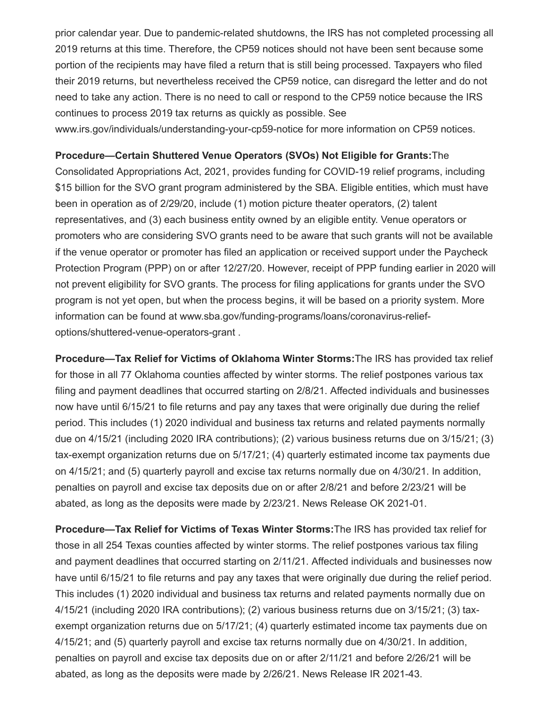prior calendar year. Due to pandemic-related shutdowns, the IRS has not completed processing all 2019 returns at this time. Therefore, the CP59 notices should not have been sent because some portion of the recipients may have filed a return that is still being processed. Taxpayers who filed their 2019 returns, but nevertheless received the CP59 notice, can disregard the letter and do not need to take any action. There is no need to call or respond to the CP59 notice because the IRS continues to process 2019 tax returns as quickly as possible. See www.irs.gov/individuals/understanding-your-cp59-notice for more information on CP59 notices.

#### **Procedure—Certain Shuttered Venue Operators (SVOs) Not Eligible for Grants:**The

Consolidated Appropriations Act, 2021, provides funding for COVID-19 relief programs, including \$15 billion for the SVO grant program administered by the SBA. Eligible entities, which must have been in operation as of 2/29/20, include (1) motion picture theater operators, (2) talent representatives, and (3) each business entity owned by an eligible entity. Venue operators or promoters who are considering SVO grants need to be aware that such grants will not be available if the venue operator or promoter has filed an application or received support under the Paycheck Protection Program (PPP) on or after 12/27/20. However, receipt of PPP funding earlier in 2020 will not prevent eligibility for SVO grants. The process for filing applications for grants under the SVO program is not yet open, but when the process begins, it will be based on a priority system. More information can be found at www.sba.gov/funding-programs/loans/coronavirus-reliefoptions/shuttered-venue-operators-grant .

**Procedure—Tax Relief for Victims of Oklahoma Winter Storms:**The IRS has provided tax relief for those in all 77 Oklahoma counties affected by winter storms. The relief postpones various tax filing and payment deadlines that occurred starting on 2/8/21. Affected individuals and businesses now have until 6/15/21 to file returns and pay any taxes that were originally due during the relief period. This includes (1) 2020 individual and business tax returns and related payments normally due on 4/15/21 (including 2020 IRA contributions); (2) various business returns due on 3/15/21; (3) tax-exempt organization returns due on 5/17/21; (4) quarterly estimated income tax payments due on 4/15/21; and (5) quarterly payroll and excise tax returns normally due on 4/30/21. In addition, penalties on payroll and excise tax deposits due on or after 2/8/21 and before 2/23/21 will be abated, as long as the deposits were made by 2/23/21. News Release OK 2021-01.

**Procedure—Tax Relief for Victims of Texas Winter Storms:**The IRS has provided tax relief for those in all 254 Texas counties affected by winter storms. The relief postpones various tax filing and payment deadlines that occurred starting on 2/11/21. Affected individuals and businesses now have until 6/15/21 to file returns and pay any taxes that were originally due during the relief period. This includes (1) 2020 individual and business tax returns and related payments normally due on 4/15/21 (including 2020 IRA contributions); (2) various business returns due on 3/15/21; (3) taxexempt organization returns due on 5/17/21; (4) quarterly estimated income tax payments due on 4/15/21; and (5) quarterly payroll and excise tax returns normally due on 4/30/21. In addition, penalties on payroll and excise tax deposits due on or after 2/11/21 and before 2/26/21 will be abated, as long as the deposits were made by 2/26/21. News Release IR 2021-43.